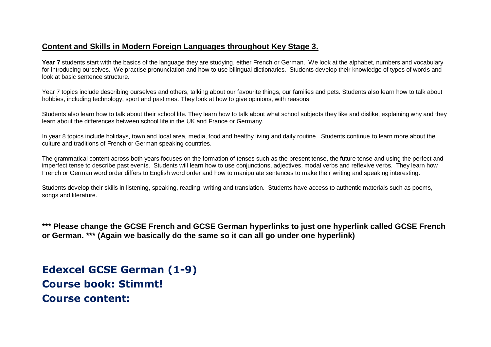#### **Content and Skills in Modern Foreign Languages throughout Key Stage 3.**

**Year 7** students start with the basics of the language they are studying, either French or German. We look at the alphabet, numbers and vocabulary for introducing ourselves. We practise pronunciation and how to use bilingual dictionaries. Students develop their knowledge of types of words and look at basic sentence structure.

Year 7 topics include describing ourselves and others, talking about our favourite things, our families and pets. Students also learn how to talk about hobbies, including technology, sport and pastimes. They look at how to give opinions, with reasons.

Students also learn how to talk about their school life. They learn how to talk about what school subjects they like and dislike, explaining why and they learn about the differences between school life in the UK and France or Germany.

In year 8 topics include holidays, town and local area, media, food and healthy living and daily routine. Students continue to learn more about the culture and traditions of French or German speaking countries.

The grammatical content across both years focuses on the formation of tenses such as the present tense, the future tense and using the perfect and imperfect tense to describe past events. Students will learn how to use conjunctions, adjectives, modal verbs and reflexive verbs. They learn how French or German word order differs to English word order and how to manipulate sentences to make their writing and speaking interesting.

Students develop their skills in listening, speaking, reading, writing and translation. Students have access to authentic materials such as poems, songs and literature.

**\*\*\* Please change the GCSE French and GCSE German hyperlinks to just one hyperlink called GCSE French or German. \*\*\* (Again we basically do the same so it can all go under one hyperlink)**

**Edexcel GCSE German (1-9) Course book: Stimmt! Course content:**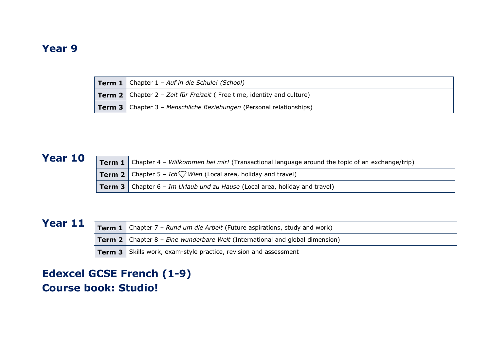#### **Year 9**

| <b>Term 1</b> Chapter $1$ - Auf in die Schule! (School)                       |
|-------------------------------------------------------------------------------|
| <b>Term 2</b> Chapter 2 – Zeit für Freizeit (Free time, identity and culture) |
| <b>Term 3</b> Chapter 3 – Menschliche Beziehungen (Personal relationships)    |

### **Year 10**

| <b>Term 1</b> Chapter 4 – Willkommen bei mir! (Transactional language around the topic of an exchange/trip) |  |  |
|-------------------------------------------------------------------------------------------------------------|--|--|
| <b>Term 2</b> Chapter 5 – Ich $\heartsuit$ Wien (Local area, holiday and travel)                            |  |  |
| <b>Term 3</b> Chapter 6 - Im Urlaub und zu Hause (Local area, holiday and travel)                           |  |  |

## **Year 11**

|                                                                         | <b>Term 1</b> Chapter 7 – Rund um die Arbeit (Future aspirations, study and work)          |  |  |
|-------------------------------------------------------------------------|--------------------------------------------------------------------------------------------|--|--|
|                                                                         | <b>Term 2</b> Chapter 8 – <i>Eine wunderbare Welt</i> (International and global dimension) |  |  |
| <b>Term 3</b> Skills work, exam-style practice, revision and assessment |                                                                                            |  |  |

# **Edexcel GCSE French (1-9) Course book: Studio!**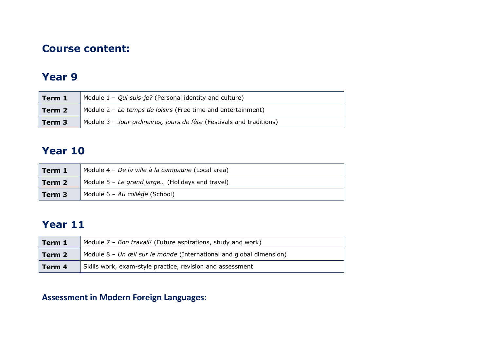#### **Course content:**

#### **Year 9**

| Module $1 - Qui suis-je?$ (Personal identity and culture)<br>Term 1      |                                                                      |  |
|--------------------------------------------------------------------------|----------------------------------------------------------------------|--|
| Module $2$ – Le temps de loisirs (Free time and entertainment)<br>Term 2 |                                                                      |  |
| Term <sub>3</sub>                                                        | Module 3 - Jour ordinaires, jours de fête (Festivals and traditions) |  |

### **Year 10**

| Module 4 – De la ville à la campagne (Local area)<br>Term 1 |                                                 |
|-------------------------------------------------------------|-------------------------------------------------|
| Term 2                                                      | Module 5 - Le grand large (Holidays and travel) |
| Term 3                                                      | Module 6 - Au collège (School)                  |

# **Year 11**

| Module 7 – Bon travail! (Future aspirations, study and work)<br>Term 1          |  |
|---------------------------------------------------------------------------------|--|
| Module $8$ – Un œil sur le monde (International and global dimension)<br>Term 2 |  |
| Skills work, exam-style practice, revision and assessment<br>Term 4             |  |

### **Assessment in Modern Foreign Languages:**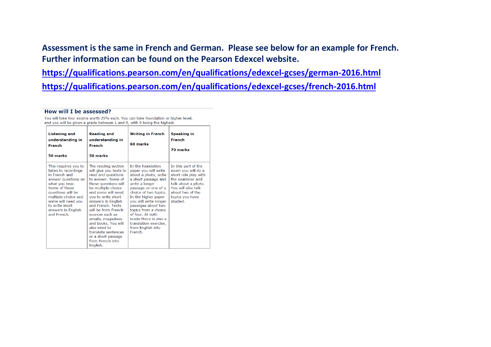**Assessment is the same in French and German. Please see below for an example for French. Further information can be found on the Pearson Edexcel website.**

**<https://qualifications.pearson.com/en/qualifications/edexcel-gcses/german-2016.html>**

**<https://qualifications.pearson.com/en/qualifications/edexcel-gcses/french-2016.html>**

#### How will I be assessed?

You will take four exams worth 25% each. You can take foundation or higher level. and you will be given a grade between 1 and 9, with 9 being the highest.

| <b>Listening and</b><br>understanding in<br>French<br>50 marks                                                                                                                                                                                  | <b>Reading and</b><br>understanding in<br>French<br>50 marks                                                                                                                                                                                                                                                                                                                                                      | <b>Writing in French</b><br>60 marks                                                                                                                                                                                                                                                                                                                            | <b>Speaking in</b><br>French<br>70 marks                                                                                                                                              |
|-------------------------------------------------------------------------------------------------------------------------------------------------------------------------------------------------------------------------------------------------|-------------------------------------------------------------------------------------------------------------------------------------------------------------------------------------------------------------------------------------------------------------------------------------------------------------------------------------------------------------------------------------------------------------------|-----------------------------------------------------------------------------------------------------------------------------------------------------------------------------------------------------------------------------------------------------------------------------------------------------------------------------------------------------------------|---------------------------------------------------------------------------------------------------------------------------------------------------------------------------------------|
| This requires you to<br>listen to recordings<br>in French and<br>answer questions on<br>what you hear.<br>Some of these<br>questions will be<br>multiple-choice and<br>some will need you<br>to write short<br>answers in English<br>and French | The reading section<br>will give you texts to<br>read and questions<br>to answer. Some of<br>these questions will<br>be multiple-choice<br>and some will need<br>you to write short<br>answers in English<br>and French. Texts<br>will be from French<br>sources such as<br>emails, magazines<br>and books. You will<br>also need to<br>translate sentences<br>or a short passage<br>from French into<br>English. | In the foundation<br>paper you will write<br>about a photo, write<br>a short passage and<br>write a longer<br>passage on one of a<br>choice of two topics.<br>In the higher paper<br>you will write longer<br>passages about two<br>topics from a choice<br>of four. At both<br>levels there is also a<br>translation exercise,<br>from English into<br>French. | In this part of the<br>exam you will do a<br>short role play with<br>the examiner and<br>talk about a photo.<br>You will also talk<br>about two of the<br>topics you have<br>studied. |